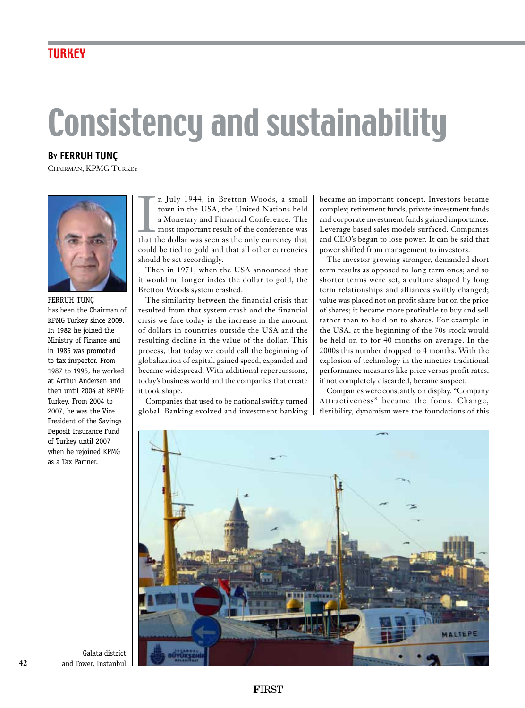## **TURKEY**

## Consistency and sustainability

**By Ferruh Tunç**

Chairman, KPMG Turkey



## Ferruh Tunç has been the Chairman of KPMG Turkey since 2009. In 1982 he joined the Ministry of Finance and in 1985 was promoted to tax inspector. From 1987 to 1995, he worked at Arthur Andersen and then until 2004 at KPMG Turkey. From 2004 to 2007, he was the Vice President of the Savings Deposit Insurance Fund of Turkey until 2007 when he rejoined KPMG as a Tax Partner.

In July 1944, in Bretton Woods, a small town in the USA, the United Nations held a Monetary and Financial Conference. The most important result of the conference was that the dollar was seen as the only currency that n July 1944, in Bretton Woods, a small town in the USA, the United Nations held a Monetary and Financial Conference. The most important result of the conference was could be tied to gold and that all other currencies should be set accordingly.

Then in 1971, when the USA announced that it would no longer index the dollar to gold, the Bretton Woods system crashed.

The similarity between the financial crisis that resulted from that system crash and the financial crisis we face today is the increase in the amount of dollars in countries outside the USA and the resulting decline in the value of the dollar. This process, that today we could call the beginning of globalization of capital, gained speed, expanded and became widespread. With additional repercussions, today's business world and the companies that create it took shape.

Companies that used to be national swiftly turned global. Banking evolved and investment banking became an important concept. Investors became complex; retirement funds, private investment funds and corporate investment funds gained importance. Leverage based sales models surfaced. Companies and CEO's began to lose power. It can be said that power shifted from management to investors.

The investor growing stronger, demanded short term results as opposed to long term ones; and so shorter terms were set, a culture shaped by long term relationships and alliances swiftly changed; value was placed not on profit share but on the price of shares; it became more profitable to buy and sell rather than to hold on to shares. For example in the USA, at the beginning of the 70s stock would be held on to for 40 months on average. In the 2000s this number dropped to 4 months. With the explosion of technology in the nineties traditional performance measures like price versus profit rates, if not completely discarded, became suspect.

Companies were constantly on display. "Company Attractiveness" became the focus. Change, flexibility, dynamism were the foundations of this



Galata district and Tower, Instanbul